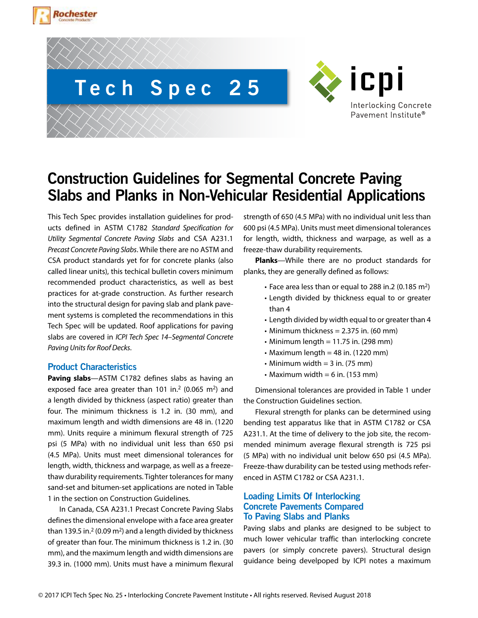





# **Construction Guidelines for Segmental Concrete Paving Slabs and Planks in Non-Vehicular Residential Applications**

This Tech Spec provides installation guidelines for products defined in ASTM C1782 *Standard Specification for Utility Segmental Concrete Paving Slabs* and CSA A231.1 *Precast Concrete Paving Slabs*. While there are no ASTM and CSA product standards yet for for concrete planks (also called linear units), this techical bulletin covers minimum recommended product characteristics, as well as best practices for at-grade construction. As further research into the structural design for paving slab and plank pavement systems is completed the recommendations in this Tech Spec will be updated. Roof applications for paving slabs are covered in *ICPI Tech Spec 14–Segmental Concrete Paving Units for Roof Decks*.

## **Product Characteristics**

**Paving slabs**—ASTM C1782 defines slabs as having an exposed face area greater than 101 in.<sup>2</sup> (0.065 m<sup>2</sup>) and a length divided by thickness (aspect ratio) greater than four. The minimum thickness is 1.2 in. (30 mm), and maximum length and width dimensions are 48 in. (1220 mm). Units require a minimum flexural strength of 725 psi (5 MPa) with no individual unit less than 650 psi (4.5 MPa). Units must meet dimensional tolerances for length, width, thickness and warpage, as well as a freezethaw durability requirements. Tighter tolerances for many sand-set and bitumen-set applications are noted in Table 1 in the section on Construction Guidelines.

In Canada, CSA A231.1 Precast Concrete Paving Slabs defines the dimensional envelope with a face area greater than 139.5 in.<sup>2</sup> (0.09 m<sup>2</sup>) and a length divided by thickness of greater than four. The minimum thickness is 1.2 in. (30 mm), and the maximum length and width dimensions are 39.3 in. (1000 mm). Units must have a minimum flexural strength of 650 (4.5 MPa) with no individual unit less than 600 psi (4.5 MPa). Units must meet dimensional tolerances for length, width, thickness and warpage, as well as a freeze-thaw durability requirements.

**Planks**—While there are no product standards for planks, they are generally defined as follows:

- Face area less than or equal to 288 in.2 (0.185 m2)
- Length divided by thickness equal to or greater than 4
- Length divided by width equal to or greater than 4
- Minimum thickness  $= 2.375$  in. (60 mm)
- $\cdot$  Minimum length = 11.75 in. (298 mm)
- Maximum length  $=$  48 in. (1220 mm)
- $\cdot$  Minimum width = 3 in. (75 mm)
- Maximum width  $= 6$  in. (153 mm)

Dimensional tolerances are provided in Table 1 under the Construction Guidelines section.

Flexural strength for planks can be determined using bending test apparatus like that in ASTM C1782 or CSA A231.1. At the time of delivery to the job site, the recommended minimum average flexural strength is 725 psi (5 MPa) with no individual unit below 650 psi (4.5 MPa). Freeze-thaw durability can be tested using methods referenced in ASTM C1782 or CSA A231.1.

# **Loading Limits Of Interlocking Concrete Pavements Compared To Paving Slabs and Planks**

Paving slabs and planks are designed to be subject to much lower vehicular traffic than interlocking concrete pavers (or simply concrete pavers). Structural design guidance being develpoped by ICPI notes a maximum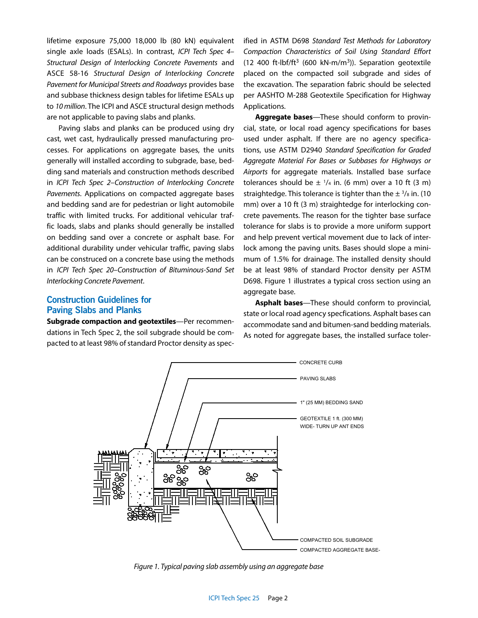lifetime exposure 75,000 18,000 lb (80 kN) equivalent single axle loads (ESALs). In contrast, *ICPI Tech Spec 4– Structural Design of Interlocking Concrete Pavements* and ASCE 58-16 *Structural Design of Interlocking Concrete Pavement for Municipal Streets and Roadways* provides base and subbase thickness design tables for lifetime ESALs up to *10 million*. The ICPI and ASCE structural design methods are not applicable to paving slabs and planks.

Paving slabs and planks can be produced using dry cast, wet cast, hydraulically pressed manufacturing processes. For applications on aggregate bases, the units generally will installed according to subgrade, base, bedding sand materials and construction methods described in *ICPI Tech Spec 2–Construction of Interlocking Concrete Pavements*. Applications on compacted aggregate bases and bedding sand are for pedestrian or light automobile traffic with limited trucks. For additional vehicular traffic loads, slabs and planks should generally be installed on bedding sand over a concrete or asphalt base. For additional durability under vehicular traffic, paving slabs can be construced on a concrete base using the methods in *ICPI Tech Spec 20–Construction of Bituminous-Sand Set Interlocking Concrete Pavement*.

## **Construction Guidelines for Paving Slabs and Planks**

**Subgrade compaction and geotextiles**—Per recommendations in Tech Spec 2, the soil subgrade should be compacted to at least 98% of standard Proctor density as specified in ASTM D698 *Standard Test Methods for Laboratory Compaction Characteristics of Soil Using Standard Effort*  (12 400 ft-lbf/ft<sup>3</sup> (600 kN-m/m<sup>3</sup>)). Separation geotextile placed on the compacted soil subgrade and sides of the excavation. The separation fabric should be selected per AASHTO M-288 Geotextile Specification for Highway Applications.

**Aggregate bases**—These should conform to provincial, state, or local road agency specifications for bases used under asphalt. If there are no agency specifications, use ASTM D2940 *Standard Specification for Graded Aggregate Material For Bases or Subbases for Highways or Airports* for aggregate materials. Installed base surface tolerances should be  $\pm$  1/4 in. (6 mm) over a 10 ft (3 m) straightedge. This tolerance is tighter than the  $\pm$  <sup>3</sup>/<sub>8</sub> in. (10 mm) over a 10 ft (3 m) straightedge for interlocking concrete pavements. The reason for the tighter base surface tolerance for slabs is to provide a more uniform support and help prevent vertical movement due to lack of interlock among the paving units. Bases should slope a minimum of 1.5% for drainage. The installed density should be at least 98% of standard Proctor density per ASTM D698. Figure 1 illustrates a typical cross section using an aggregate base.

**Asphalt bases**—These should conform to provincial, state or local road agency specfications. Asphalt bases can accommodate sand and bitumen-sand bedding materials. As noted for aggregate bases, the installed surface toler-



*Figure 1. Typical paving slab assembly using an aggregate base*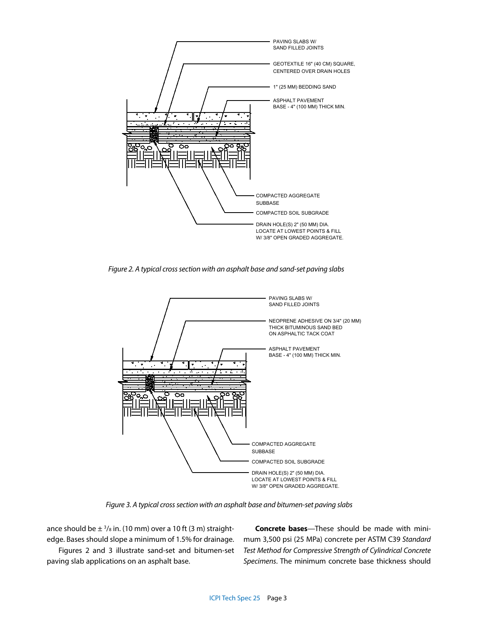

*Figure 2. A typical cross section with an asphalt base and sand-set paving slabs*



*Figure 3. A typical cross section with an asphalt base and bitumen-set paving slabs*

ance should be  $\pm$  <sup>3</sup>/<sub>8</sub> in. (10 mm) over a 10 ft (3 m) straightedge. Bases should slope a minimum of 1.5% for drainage.

Figures 2 and 3 illustrate sand-set and bitumen-set paving slab applications on an asphalt base.

**Concrete bases**—These should be made with minimum 3,500 psi (25 MPa) concrete per ASTM C39 *Standard Test Method for Compressive Strength of Cylindrical Concrete Specimens*. The minimum concrete base thickness should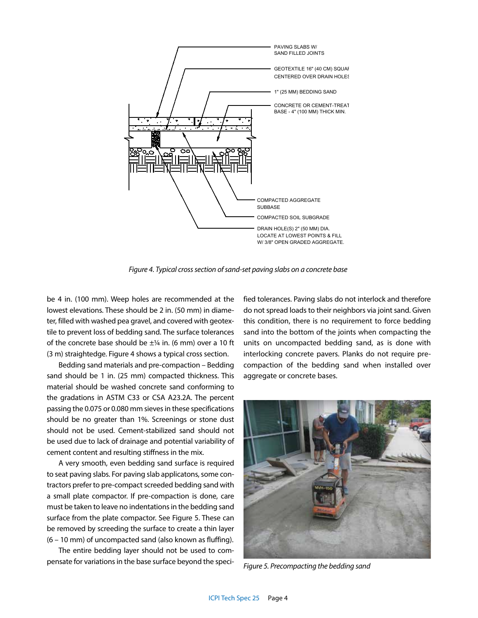

*Figure 4. Typical cross section of sand-set paving slabs on a concrete base*

be 4 in. (100 mm). Weep holes are recommended at the lowest elevations. These should be 2 in. (50 mm) in diameter, filled with washed pea gravel, and covered with geotextile to prevent loss of bedding sand. The surface tolerances of the concrete base should be  $\pm\frac{1}{4}$  in. (6 mm) over a 10 ft (3 m) straightedge. Figure 4 shows a typical cross section.

Bedding sand materials and pre-compaction – Bedding sand should be 1 in. (25 mm) compacted thickness. This material should be washed concrete sand conforming to the gradations in ASTM C33 or CSA A23.2A. The percent passing the 0.075 or 0.080 mm sieves in these specifications should be no greater than 1%. Screenings or stone dust should not be used. Cement-stabilized sand should not be used due to lack of drainage and potential variability of cement content and resulting stiffness in the mix.

A very smooth, even bedding sand surface is required to seat paving slabs. For paving slab applicatons, some contractors prefer to pre-compact screeded bedding sand with a small plate compactor. If pre-compaction is done, care must be taken to leave no indentations in the bedding sand surface from the plate compactor. See Figure 5. These can be removed by screeding the surface to create a thin layer (6 – 10 mm) of uncompacted sand (also known as fluffing).

The entire bedding layer should not be used to compensate for variations in the base surface beyond the specified tolerances. Paving slabs do not interlock and therefore do not spread loads to their neighbors via joint sand. Given this condition, there is no requirement to force bedding sand into the bottom of the joints when compacting the units on uncompacted bedding sand, as is done with interlocking concrete pavers. Planks do not require precompaction of the bedding sand when installed over aggregate or concrete bases.



*Figure 5. Precompacting the bedding sand*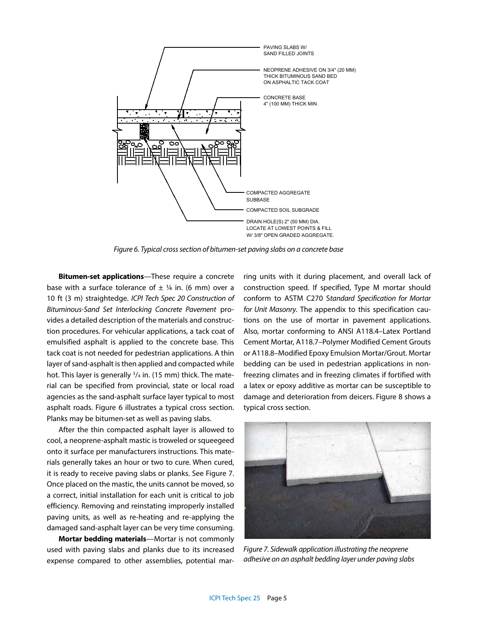

*Figure 6. Typical cross section of bitumen-set paving slabs on a concrete base*

**Bitumen-set applications**—These require a concrete base with a surface tolerance of  $\pm$  1/4 in. (6 mm) over a 10 ft (3 m) straightedge. *ICPI Tech Spec 20 Construction of Bituminous-Sand Set Interlocking Concrete Pavement* provides a detailed description of the materials and construction procedures. For vehicular applications, a tack coat of emulsified asphalt is applied to the concrete base. This tack coat is not needed for pedestrian applications. A thin layer of sand-asphalt is then applied and compacted while hot. This layer is generally <sup>3</sup>/<sub>4</sub> in. (15 mm) thick. The material can be specified from provincial, state or local road agencies as the sand-asphalt surface layer typical to most asphalt roads. Figure 6 illustrates a typical cross section. Planks may be bitumen-set as well as paving slabs.

After the thin compacted asphalt layer is allowed to cool, a neoprene-asphalt mastic is troweled or squeegeed onto it surface per manufacturers instructions. This materials generally takes an hour or two to cure. When cured, it is ready to receive paving slabs or planks. See Figure 7. Once placed on the mastic, the units cannot be moved, so a correct, initial installation for each unit is critical to job efficiency. Removing and reinstating improperly installed paving units, as well as re-heating and re-applying the damaged sand-asphalt layer can be very time consuming.

**Mortar bedding materials**—Mortar is not commonly used with paving slabs and planks due to its increased expense compared to other assemblies, potential marring units with it during placement, and overall lack of construction speed. If specified, Type M mortar should conform to ASTM C270 S*tandard Specification for Mortar for Unit Masonry*. The appendix to this specification cautions on the use of mortar in pavement applications. Also, mortar conforming to ANSI A118.4–Latex Portland Cement Mortar, A118.7–Polymer Modified Cement Grouts or A118.8–Modified Epoxy Emulsion Mortar/Grout. Mortar bedding can be used in pedestrian applications in nonfreezing climates and in freezing climates if fortified with a latex or epoxy additive as mortar can be susceptible to damage and deterioration from deicers. Figure 8 shows a typical cross section.



*Figure 7. Sidewalk application illustrating the neoprene adhesive on an asphalt bedding layer under paving slabs*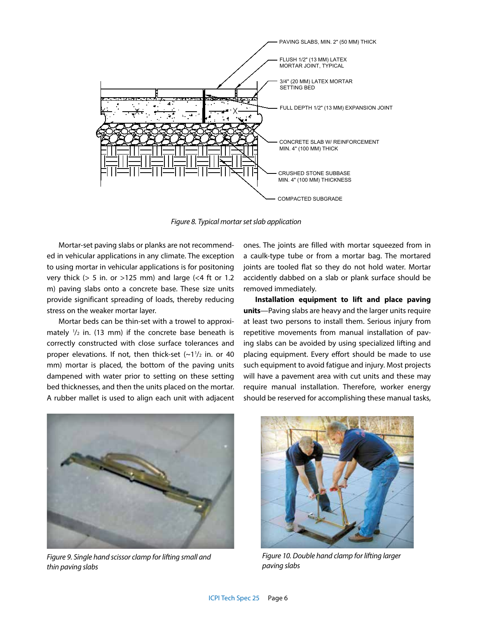

*Figure 8. Typical mortar set slab application*

Mortar-set paving slabs or planks are not recommended in vehicular applications in any climate. The exception to using mortar in vehicular applications is for positoning very thick ( $> 5$  in. or  $>125$  mm) and large (<4 ft or 1.2 m) paving slabs onto a concrete base. These size units provide significant spreading of loads, thereby reducing stress on the weaker mortar layer.

Mortar beds can be thin-set with a trowel to approximately  $\frac{1}{2}$  in. (13 mm) if the concrete base beneath is correctly constructed with close surface tolerances and proper elevations. If not, then thick-set  $(-1^1)_2$  in. or 40 mm) mortar is placed, the bottom of the paving units dampened with water prior to setting on these setting bed thicknesses, and then the units placed on the mortar. A rubber mallet is used to align each unit with adjacent

ones. The joints are filled with mortar squeezed from in a caulk-type tube or from a mortar bag. The mortared joints are tooled flat so they do not hold water. Mortar accidently dabbed on a slab or plank surface should be removed immediately.

**Installation equipment to lift and place paving units**—Paving slabs are heavy and the larger units require at least two persons to install them. Serious injury from repetitive movements from manual installation of paving slabs can be avoided by using specialized lifting and placing equipment. Every effort should be made to use such equipment to avoid fatigue and injury. Most projects will have a pavement area with cut units and these may require manual installation. Therefore, worker energy should be reserved for accomplishing these manual tasks,



*Figure 9. Single hand scissor clamp for lifting small and thin paving slabs*



*Figure 10. Double hand clamp for lifting larger paving slabs*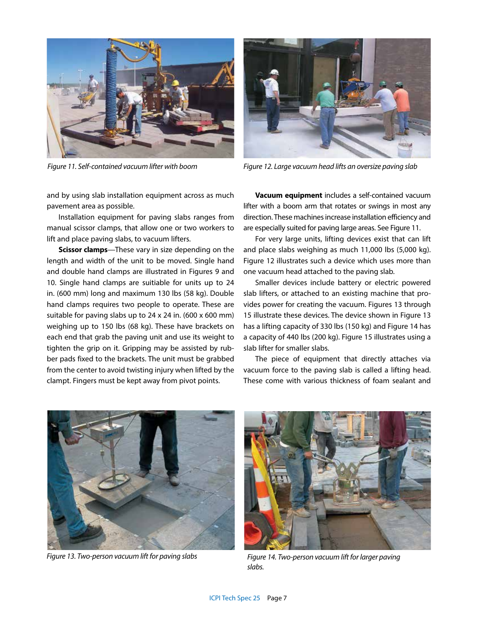

and by using slab installation equipment across as much pavement area as possible.

Installation equipment for paving slabs ranges from manual scissor clamps, that allow one or two workers to lift and place paving slabs, to vacuum lifters.

**Scissor clamps**—These vary in size depending on the length and width of the unit to be moved. Single hand and double hand clamps are illustrated in Figures 9 and 10. Single hand clamps are suitiable for units up to 24 in. (600 mm) long and maximum 130 lbs (58 kg). Double hand clamps requires two people to operate. These are suitable for paving slabs up to 24 x 24 in. (600 x 600 mm) weighing up to 150 lbs (68 kg). These have brackets on each end that grab the paving unit and use its weight to tighten the grip on it. Gripping may be assisted by rubber pads fixed to the brackets. The unit must be grabbed from the center to avoid twisting injury when lifted by the clampt. Fingers must be kept away from pivot points.



*Figure 11. Self-contained vacuum lifter with boom Figure 12. Large vacuum head lifts an oversize paving slab*

**Vacuum equipment** includes a self-contained vacuum lifter with a boom arm that rotates or swings in most any direction. These machines increase installation efficiency and are especially suited for paving large areas. See Figure 11.

For very large units, lifting devices exist that can lift and place slabs weighing as much 11,000 lbs (5,000 kg). Figure 12 illustrates such a device which uses more than one vacuum head attached to the paving slab.

Smaller devices include battery or electric powered slab lifters, or attached to an existing machine that provides power for creating the vacuum. Figures 13 through 15 illustrate these devices. The device shown in Figure 13 has a lifting capacity of 330 lbs (150 kg) and Figure 14 has a capacity of 440 lbs (200 kg). Figure 15 illustrates using a slab lifter for smaller slabs.

The piece of equipment that directly attaches via vacuum force to the paving slab is called a lifting head. These come with various thickness of foam sealant and





*Figure 13. Two-person vacuum lift for paving slabs Figure 14. Two-person vacuum lift for larger paving slabs.*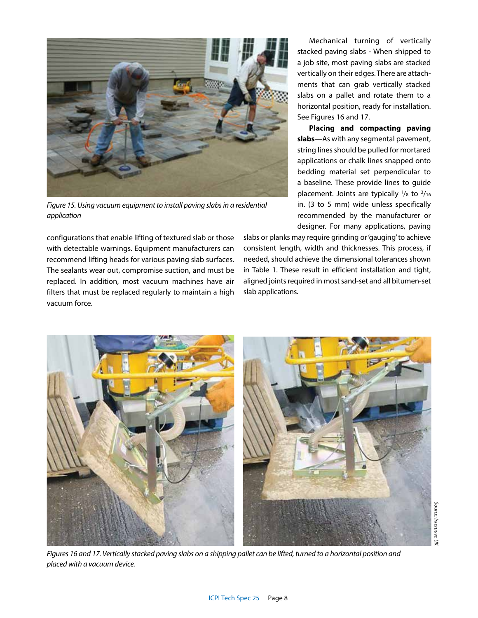

*Figure 15. Using vacuum equipment to install paving slabs in a residential application*

configurations that enable lifting of textured slab or those with detectable warnings. Equipment manufacturers can recommend lifting heads for various paving slab surfaces. The sealants wear out, compromise suction, and must be replaced. In addition, most vacuum machines have air filters that must be replaced regularly to maintain a high vacuum force.

Mechanical turning of vertically stacked paving slabs - When shipped to a job site, most paving slabs are stacked vertically on their edges. There are attachments that can grab vertically stacked slabs on a pallet and rotate them to a horizontal position, ready for installation. See Figures 16 and 17.

**Placing and compacting paving slabs**—As with any segmental pavement, string lines should be pulled for mortared applications or chalk lines snapped onto bedding material set perpendicular to a baseline. These provide lines to guide placement. Joints are typically  $\frac{1}{8}$  to  $\frac{3}{16}$ in. (3 to 5 mm) wide unless specifically recommended by the manufacturer or designer. For many applications, paving

slabs or planks may require grinding or 'gauging' to achieve consistent length, width and thicknesses. This process, if needed, should achieve the dimensional tolerances shown in Table 1. These result in efficient installation and tight, aligned joints required in most sand-set and all bitumen-set slab applications.



*Figures 16 and 17. Vertically stacked paving slabs on a shipping pallet can be lifted, turned to a horizontal position and placed with a vacuum device.*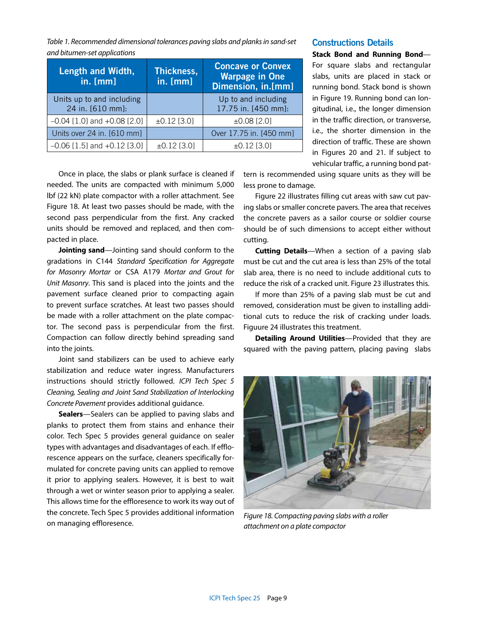*Table 1. Recommended dimensional tolerances paving slabs and planks in sand-set and bitumen-set applications*

| Length and Width,<br>in. [mm]                 | Thickness,<br>in. [mm] | <b>Concave or Convex</b><br><b>Warpage in One</b><br>Dimension, in.[mm] |
|-----------------------------------------------|------------------------|-------------------------------------------------------------------------|
| Units up to and including<br>24 in. [610 mm]: |                        | Up to and including<br>17.75 in. [450 mm]:                              |
| $-0.04$ [1.0] and $+0.08$ [2.0]               | $±0.12$ [3.0]          | $±0.08$ [2.0]                                                           |
| Units over 24 in. [610 mm]                    |                        | Over 17.75 in. [450 mm]                                                 |
| $-0.06$ [1.5] and $+0.12$ [3.0]               | $±0.12$ [3.0]          | $\pm 0.12$ [3.0]                                                        |

**Constructions Details**

**Stack Bond and Running Bond**— For square slabs and rectangular slabs, units are placed in stack or running bond. Stack bond is shown in Figure 19. Running bond can longitudinal, i.e., the longer dimension in the traffic direction, or transverse, i.e., the shorter dimension in the direction of traffic. These are shown in Figures 20 and 21. If subject to vehicular traffic, a running bond pat-

Once in place, the slabs or plank surface is cleaned if needed. The units are compacted with minimum 5,000 lbf (22 kN) plate compactor with a roller attachment. See Figure 18. At least two passes should be made, with the second pass perpendicular from the first. Any cracked units should be removed and replaced, and then compacted in place.

**Jointing sand**—Jointing sand should conform to the gradations in C144 *Standard Specification for Aggregate for Masonry Mortar* or CSA A179 *Mortar and Grout for Unit Masonry*. This sand is placed into the joints and the pavement surface cleaned prior to compacting again to prevent surface scratches. At least two passes should be made with a roller attachment on the plate compactor. The second pass is perpendicular from the first. Compaction can follow directly behind spreading sand into the joints.

Joint sand stabilizers can be used to achieve early stabilization and reduce water ingress. Manufacturers instructions should strictly followed. *ICPI Tech Spec 5 Cleaning, Sealing and Joint Sand Stabilization of Interlocking Concrete Pavement* provides additional guidance.

**Sealers**—Sealers can be applied to paving slabs and planks to protect them from stains and enhance their color. Tech Spec 5 provides general guidance on sealer types with advantages and disadvantages of each. If efflorescence appears on the surface, cleaners specifically formulated for concrete paving units can applied to remove it prior to applying sealers. However, it is best to wait through a wet or winter season prior to applying a sealer. This allows time for the effloresence to work its way out of the concrete. Tech Spec 5 provides additional information on managing effloresence.

tern is recommended using square units as they will be less prone to damage.

Figure 22 illustrates filling cut areas with saw cut paving slabs or smaller concrete pavers. The area that receives the concrete pavers as a sailor course or soldier course should be of such dimensions to accept either without cutting.

**Cutting Details**—When a section of a paving slab must be cut and the cut area is less than 25% of the total slab area, there is no need to include additional cuts to reduce the risk of a cracked unit. Figure 23 illustrates this.

If more than 25% of a paving slab must be cut and removed, consideration must be given to installing additional cuts to reduce the risk of cracking under loads. Figuure 24 illustrates this treatment.

**Detailing Around Utilities**—Provided that they are squared with the paving pattern, placing paving slabs



*Figure 18. Compacting paving slabs with a roller attachment on a plate compactor*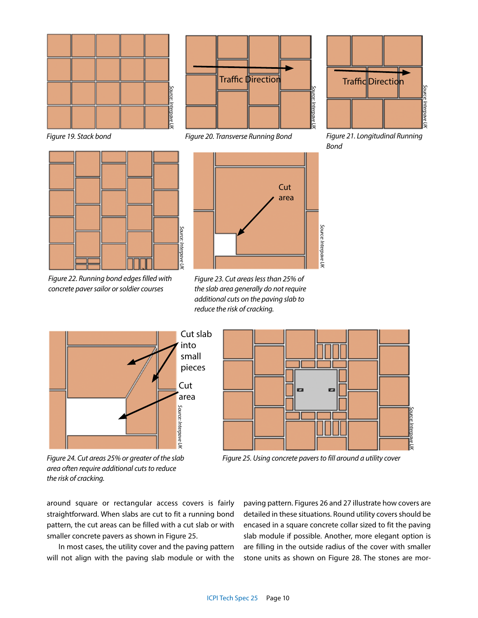



*Figure 22. Running bond edges filled with concrete paver sailor or soldier courses*



*Figure 19. Stack bond Figure 20. Transverse Running Bond Figure 21. Longitudinal Running* 



*Bond*



*Figure 23. Cut areas less than 25% of the slab area generally do not require additional cuts on the paving slab to reduce the risk of cracking.*



*Figure 24. Cut areas 25% or greater of the slab area often require additional cuts to reduce the risk of cracking.* 



*Figure 25. Using concrete pavers to fill around a utility cover*

around square or rectangular access covers is fairly straightforward. When slabs are cut to fit a running bond pattern, the cut areas can be filled with a cut slab or with smaller concrete pavers as shown in Figure 25.

In most cases, the utility cover and the paving pattern will not align with the paving slab module or with the

paving pattern. Figures 26 and 27 illustrate how covers are detailed in these situations. Round utility covers should be encased in a square concrete collar sized to fit the paving slab module if possible. Another, more elegant option is are filling in the outside radius of the cover with smaller stone units as shown on Figure 28. The stones are mor-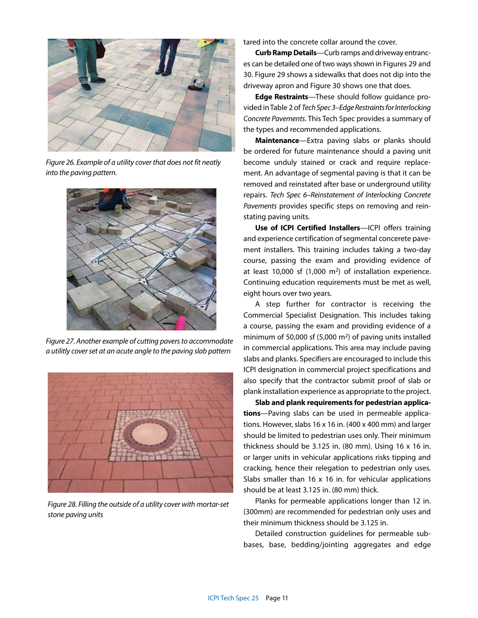

*Figure 26. Example of a utility cover that does not fit neatly into the paving pattern.*



*Figure 27. Another example of cutting pavers to accommodate a utilitly cover set at an acute angle to the paving slab pattern*



*Figure 28. Filling the outside of a utility cover with mortar-set stone paving units*

tared into the concrete collar around the cover.

**Curb Ramp Details**—Curb ramps and driveway entrances can be detailed one of two ways shown in Figures 29 and 30. Figure 29 shows a sidewalks that does not dip into the driveway apron and Figure 30 shows one that does.

**Edge Restraints**—These should follow guidance provided in Table 2 of *Tech Spec 3–Edge Restraints for Interlocking Concrete Pavements*. This Tech Spec provides a summary of the types and recommended applications.

**Maintenance**—Extra paving slabs or planks should be ordered for future maintenance should a paving unit become unduly stained or crack and require replacement. An advantage of segmental paving is that it can be removed and reinstated after base or underground utility repairs. *Tech Spec 6–Reinstatement of Interlocking Concrete Pavements* provides specific steps on removing and reinstating paving units.

**Use of ICPI Certified Installers**—ICPI offers training and experience certification of segmental concerete pavement installers. This training includes taking a two-day course, passing the exam and providing evidence of at least 10,000 sf  $(1,000 \text{ m}^2)$  of installation experience. Continuing education requirements must be met as well, eight hours over two years.

A step further for contractor is receiving the Commercial Specialist Designation. This includes taking a course, passing the exam and providing evidence of a minimum of 50,000 sf (5,000 m2) of paving units installed in commercial applications. This area may include paving slabs and planks. Specifiers are encouraged to include this ICPI designation in commercial project specifications and also specify that the contractor submit proof of slab or plank installation experience as appropriate to the project.

**Slab and plank requirements for pedestrian applications**—Paving slabs can be used in permeable applications. However, slabs 16 x 16 in. (400 x 400 mm) and larger should be limited to pedestrian uses only. Their minimum thickness should be 3.125 in. (80 mm). Using 16 x 16 in. or larger units in vehicular applications risks tipping and cracking, hence their relegation to pedestrian only uses. Slabs smaller than 16 x 16 in. for vehicular applications should be at least 3.125 in. (80 mm) thick.

Planks for permeable applications longer than 12 in. (300mm) are recommended for pedestrian only uses and their minimum thickness should be 3.125 in.

Detailed construction guidelines for permeable subbases, base, bedding/jointing aggregates and edge